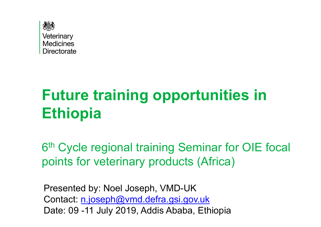

# **Future training opportunities in Ethiopia**

6<sup>th</sup> Cycle regional training Seminar for OIE focal points for veterinary products (Africa)

Presented by: Noel Joseph, VMD-UK Contact: n.joseph@vmd.defra.gsi.gov.uk Date: 09 -11 July 2019, Addis Ababa, Ethiopia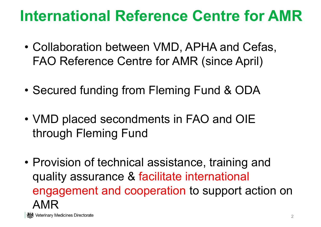## **International Reference Centre for AMR**

- Collaboration between VMD, APHA and Cefas, FAO Reference Centre for AMR (since April)
- Secured funding from Fleming Fund & ODA
- VMD placed secondments in FAO and OIE through Fleming Fund
- Provision of technical assistance, training and quality assurance & facilitate international engagement and cooperation to support action on AMR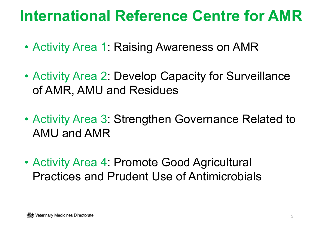#### **International Reference Centre for AMR**

- Activity Area 1: Raising Awareness on AMR
- Activity Area 2: Develop Capacity for Surveillance of AMR, AMU and Residues
- Activity Area 3: Strengthen Governance Related to AMU and AMR
- Activity Area 4: Promote Good Agricultural Practices and Prudent Use of Antimicrobials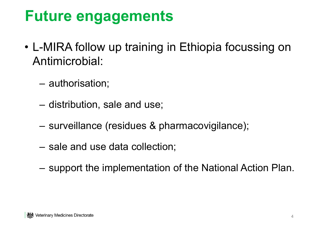# **Future engagements**

- L-MIRA follow up training in Ethiopia focussing on Antimicrobial:
	- –authorisation;
	- –distribution, sale and use;
	- –surveillance (residues & pharmacovigilance);
	- –sale and use data collection;
	- Charles Constitution support the implementation of the National Action Plan.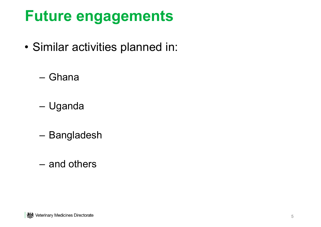# **Future engagements**

- Similar activities planned in:
	- Ghana
	- –Uganda
	- Bangladesh
	- and others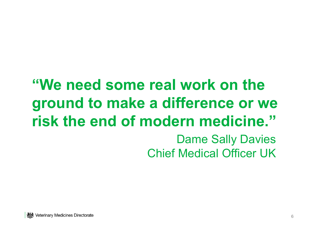## **"We need some real work on the ground to make a difference or we risk the end of modern medicine."**Dame Sally Davies Chief Medical Officer UK